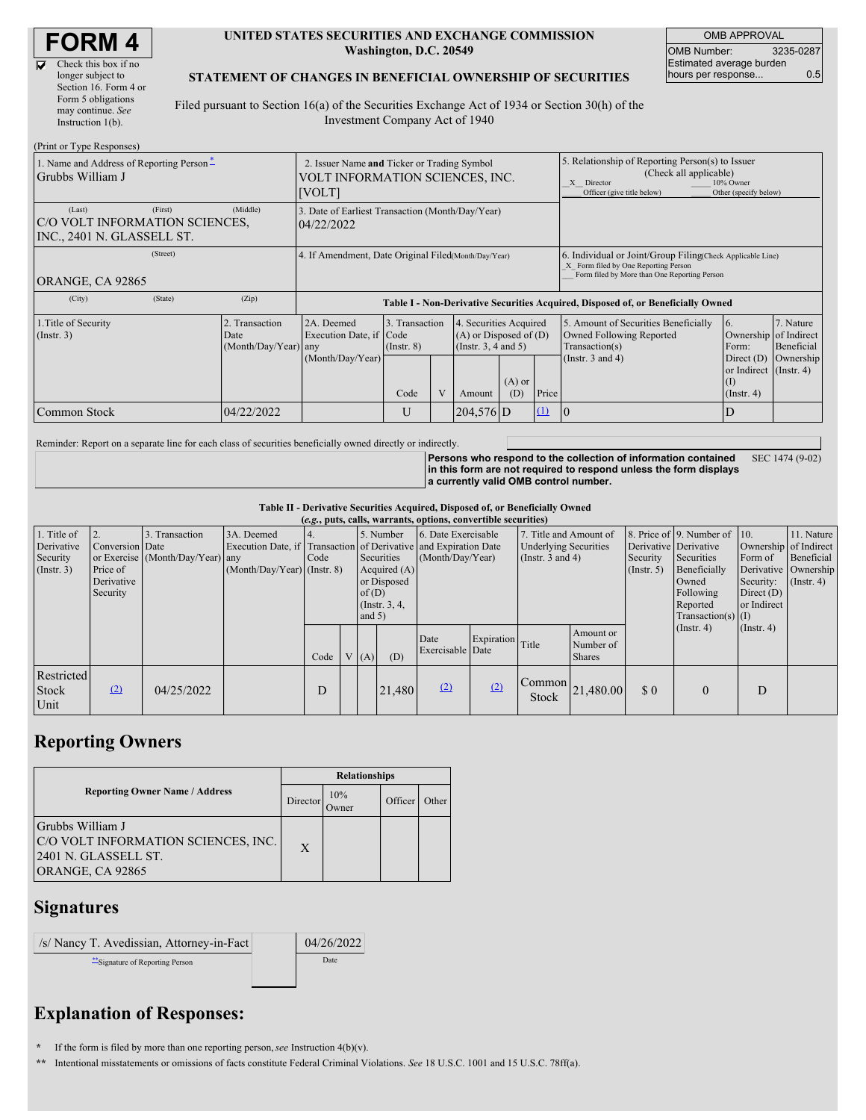| <b>FORM4</b> |
|--------------|
|--------------|

 $\overline{\mathbf{v}}$ 

| Check this box if no  |
|-----------------------|
| longer subject to     |
| Section 16. Form 4 or |
| Form 5 obligations    |
| may continue. See     |
| Instruction 1(b).     |

#### **UNITED STATES SECURITIES AND EXCHANGE COMMISSION Washington, D.C. 20549**

OMB APPROVAL OMB Number: 3235-0287 Estimated average burden hours per response... 0.5

#### **STATEMENT OF CHANGES IN BENEFICIAL OWNERSHIP OF SECURITIES**

Filed pursuant to Section 16(a) of the Securities Exchange Act of 1934 or Section 30(h) of the Investment Company Act of 1940

| (Print or Type Responses)                                                         |                                                                                                 |                                                                                  |                                   |   |                                                                              |                                                                                                                        |                                    |                                                                                                                                                    |                                                                 |                                      |  |
|-----------------------------------------------------------------------------------|-------------------------------------------------------------------------------------------------|----------------------------------------------------------------------------------|-----------------------------------|---|------------------------------------------------------------------------------|------------------------------------------------------------------------------------------------------------------------|------------------------------------|----------------------------------------------------------------------------------------------------------------------------------------------------|-----------------------------------------------------------------|--------------------------------------|--|
| 1. Name and Address of Reporting Person-<br>Grubbs William J                      | 2. Issuer Name and Ticker or Trading Symbol<br>VOLT INFORMATION SCIENCES, INC.<br><b>[VOLT]</b> |                                                                                  |                                   |   |                                                                              | 5. Relationship of Reporting Person(s) to Issuer<br>(Check all applicable)<br>X Director<br>Officer (give title below) | 10% Owner<br>Other (specify below) |                                                                                                                                                    |                                                                 |                                      |  |
| (First)<br>(Last)<br>C/O VOLT INFORMATION SCIENCES,<br>INC., 2401 N. GLASSELL ST. | (Middle)                                                                                        | 3. Date of Earliest Transaction (Month/Day/Year)<br>04/22/2022                   |                                   |   |                                                                              |                                                                                                                        |                                    |                                                                                                                                                    |                                                                 |                                      |  |
| (Street)<br>ORANGE, CA 92865                                                      |                                                                                                 | 4. If Amendment, Date Original Filed Month/Day/Year)                             |                                   |   |                                                                              |                                                                                                                        |                                    | 6. Individual or Joint/Group Filing Check Applicable Line)<br>X Form filed by One Reporting Person<br>Form filed by More than One Reporting Person |                                                                 |                                      |  |
| (City)<br>(State)                                                                 | (Zip)                                                                                           | Table I - Non-Derivative Securities Acquired, Disposed of, or Beneficially Owned |                                   |   |                                                                              |                                                                                                                        |                                    |                                                                                                                                                    |                                                                 |                                      |  |
| 1. Title of Security<br>(Insert. 3)                                               | 2. Transaction<br>Date<br>(Month/Day/Year) any                                                  | 2A. Deemed<br>Execution Date, if Code<br>(Month/Day/Year)                        | 3. Transaction<br>$($ Instr. $8)$ |   | 4. Securities Acquired<br>$(A)$ or Disposed of $(D)$<br>(Insert. 3, 4 and 5) |                                                                                                                        |                                    | 5. Amount of Securities Beneficially<br>Owned Following Reported<br>Transaction(s)<br>(Instr. $3$ and $4$ )                                        | <sup>6.</sup><br>Ownership of Indirect<br>Form:<br>Direct $(D)$ | 7. Nature<br>Beneficial<br>Ownership |  |
|                                                                                   |                                                                                                 |                                                                                  | Code                              | V | Amount                                                                       | $(A)$ or<br>(D)                                                                                                        | Price                              |                                                                                                                                                    | or Indirect (Instr. 4)<br>(1)<br>$($ Instr. 4 $)$               |                                      |  |
| <b>Common Stock</b>                                                               | 04/22/2022                                                                                      |                                                                                  | U                                 |   | $204,576$ D                                                                  |                                                                                                                        | $\Omega$                           | 10                                                                                                                                                 | D                                                               |                                      |  |

Reminder: Report on a separate line for each class of securities beneficially owned directly or indirectly.

**Persons who respond to the collection of information contained in this form are not required to respond unless the form displays a currently valid OMB control number.** SEC 1474 (9-02)

**Table II - Derivative Securities Acquired, Disposed of, or Beneficially Owned**

| (e.g., puts, calls, warrants, options, convertible securities) |                                                       |                                                 |                                                                                                               |      |  |                      |                                                                             |                                         |            |                 |                                                                                                            |          |                                                                                                                                               |                                                     |                                                                                            |
|----------------------------------------------------------------|-------------------------------------------------------|-------------------------------------------------|---------------------------------------------------------------------------------------------------------------|------|--|----------------------|-----------------------------------------------------------------------------|-----------------------------------------|------------|-----------------|------------------------------------------------------------------------------------------------------------|----------|-----------------------------------------------------------------------------------------------------------------------------------------------|-----------------------------------------------------|--------------------------------------------------------------------------------------------|
| 1. Title of<br>Derivative<br>Security<br>(Insert. 3)           | Conversion Date<br>Price of<br>Derivative<br>Security | Transaction<br>or Exercise (Month/Day/Year) any | 3A. Deemed<br>Execution Date, if Transaction of Derivative and Expiration Date<br>(Month/Day/Year) (Instr. 8) | Code |  | of $(D)$<br>and $5)$ | 5. Number<br>Securities<br>Acquired $(A)$<br>or Disposed<br>(Instr. $3, 4,$ | 6. Date Exercisable<br>(Month/Day/Year) |            |                 | 7. Title and Amount of<br><b>Underlying Securities</b><br>Security<br>(Instr. $3$ and $4$ )<br>(Insert. 5) |          | 8. Price of 9. Number of 10.<br>Derivative Derivative<br>Securities<br>Beneficially<br>Owned<br>Following<br>Reported<br>Transaction(s) $(I)$ | Form of<br>Security:<br>Direct $(D)$<br>or Indirect | 11. Nature<br>Ownership of Indirect<br>Beneficial<br>Derivative Ownership<br>$($ Instr. 4) |
|                                                                |                                                       |                                                 |                                                                                                               | Code |  | V(A)                 | (D)                                                                         | Date<br>Exercisable Date                | Expiration | Title           | Amount or<br>Number of<br><b>Shares</b>                                                                    |          | (Insert, 4)                                                                                                                                   | $($ Instr. 4 $)$                                    |                                                                                            |
| Restricted<br>Stock<br>Unit                                    | (2)                                                   | 04/25/2022                                      |                                                                                                               | D    |  |                      | 21,480                                                                      | (2)                                     | (2)        | Common<br>Stock | 21,480.00                                                                                                  | $\Omega$ | $\mathbf{0}$                                                                                                                                  | D                                                   |                                                                                            |

# **Reporting Owners**

|                                                                                                     | <b>Relationships</b> |                     |         |       |  |  |  |
|-----------------------------------------------------------------------------------------------------|----------------------|---------------------|---------|-------|--|--|--|
| <b>Reporting Owner Name / Address</b>                                                               | Director             | 10%<br><b>Twner</b> | Officer | Other |  |  |  |
| Grubbs William J<br>C/O VOLT INFORMATION SCIENCES, INC.<br>2401 N. GLASSELL ST.<br>ORANGE, CA 92865 | $\mathbf{X}$         |                     |         |       |  |  |  |

### **Signatures**

| /s/ Nancy T. Avedissian, Attorney-in-Fact | 04/26/2022 |
|-------------------------------------------|------------|
| "Signature of Reporting Person            | Date       |
|                                           |            |

# **Explanation of Responses:**

**\*** If the form is filed by more than one reporting person,*see* Instruction 4(b)(v).

**\*\*** Intentional misstatements or omissions of facts constitute Federal Criminal Violations. *See* 18 U.S.C. 1001 and 15 U.S.C. 78ff(a).